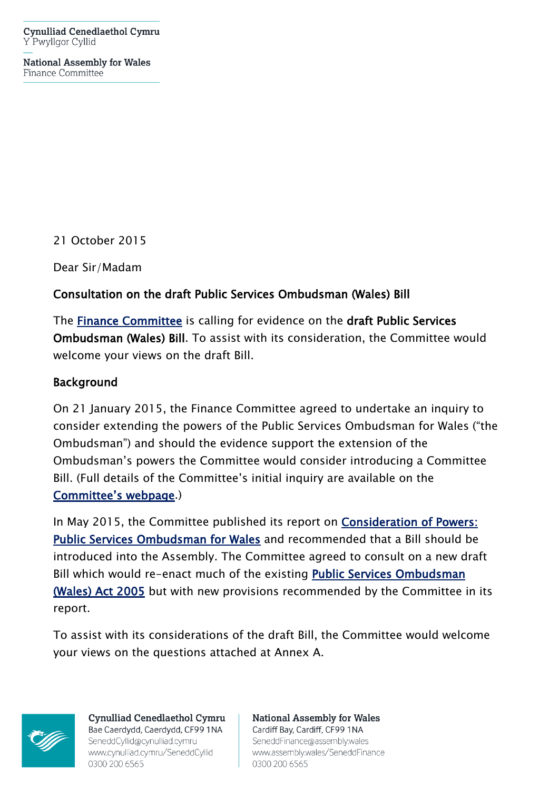**Cynulliad Cenedlaethol Cymru** Y Pwyllgor Cyllid

**National Assembly for Wales** Finance Committee

21 October 2015

Dear Sir/Madam

#### **Consultation on the draft Public Services Ombudsman (Wales) Bill**

The **[Finance Committee](http://www.senedd.assembly.wales/mgCommitteeDetails.aspx?ID=229)** is calling for evidence on the **draft Public Services Ombudsman (Wales) Bill**. To assist with its consideration, the Committee would welcome your views on the draft Bill.

#### **Background**

On 21 January 2015, the Finance Committee agreed to undertake an inquiry to consider extending the powers of the Public Services Ombudsman for Wales ("the Ombudsman") and should the evidence support the extension of the Ombudsman's powers the Committee would consider introducing a Committee Bill. (Full details of the Committee's initial inquiry are available on the **[Committee's webpage](http://www.senedd.assembly.wales/mgIssueHistoryHome.aspx?IId=11936)**.)

In May 2015, the Committee published its report on **[Consideration of Powers:](http://www.cynulliad.cymru/laid%20documents/cr-ld10200/cr-ld10200-e.pdf)  [Public Services Ombudsman for Wales](http://www.cynulliad.cymru/laid%20documents/cr-ld10200/cr-ld10200-e.pdf)** and recommended that a Bill should be introduced into the Assembly. The Committee agreed to consult on a new draft Bill which would re-enact much of the existing **[Public Services Ombudsman](http://www.legislation.gov.uk/ukpga/2005/10/contents)  [\(Wales\) Act 2005](http://www.legislation.gov.uk/ukpga/2005/10/contents)** but with new provisions recommended by the Committee in its report.

To assist with its considerations of the draft Bill, the Committee would welcome your views on the questions attached at Annex A.



Cynulliad Cenedlaethol Cymru Bae Caerdydd, Caerdydd, CF99 1NA SeneddCyllid@cynulliad.cymru www.cynulliad.cymru/SeneddCyllid 0300 200 6565

**National Assembly for Wales** Cardiff Bay, Cardiff, CF99 1NA SeneddFinance@assembly.wales www.assembly.wales/SeneddFinance 0300 200 6565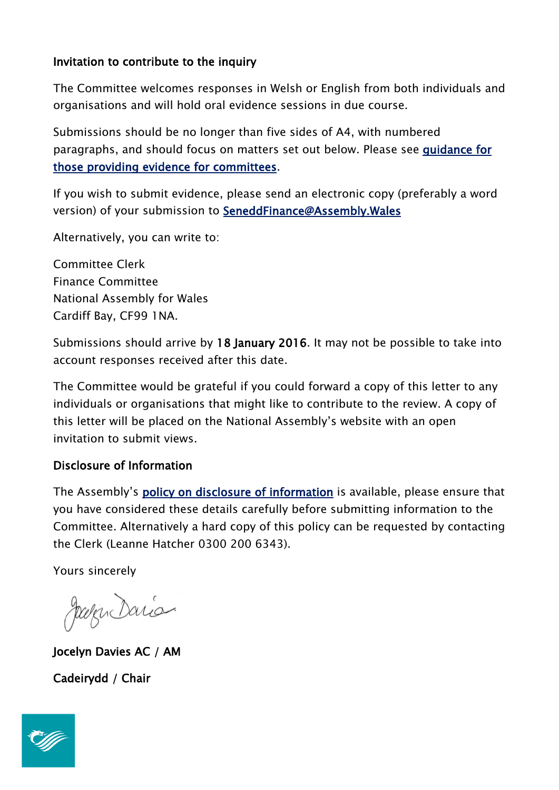## **Invitation to contribute to the inquiry**

The Committee welcomes responses in Welsh or English from both individuals and organisations and will hold oral evidence sessions in due course.

Submissions should be no longer than five sides of A4, with numbered paragraphs, and should focus on matters set out below. Please see **[guidance for](http://www.assembly.wales/en/bus-home/committees/Pages/Providing-evidence-for-committees.aspx)  [those providing evidence for committees](http://www.assembly.wales/en/bus-home/committees/Pages/Providing-evidence-for-committees.aspx)**.

If you wish to submit evidence, please send an electronic copy (preferably a word version) of your submission to **[SeneddFinance@Assembly.Wales](mailto:SeneddFinance@assembly.wales)**

Alternatively, you can write to:

Committee Clerk Finance Committee National Assembly for Wales Cardiff Bay, CF99 1NA.

Submissions should arrive by **18 January 2016**. It may not be possible to take into account responses received after this date.

The Committee would be grateful if you could forward a copy of this letter to any individuals or organisations that might like to contribute to the review. A copy of this letter will be placed on the National Assembly's website with an open invitation to submit views.

## **Disclosure of Information**

The Assembly's **[policy on disclosure of information](http://www.assembly.wales/en/help/privacy/Pages/help-inquiry-privacy.aspx)** is available, please ensure that you have considered these details carefully before submitting information to the Committee. Alternatively a hard copy of this policy can be requested by contacting the Clerk (Leanne Hatcher 0300 200 6343).

Yours sincerely

Joseph Dario

**Jocelyn Davies AC / AM Cadeirydd / Chair**

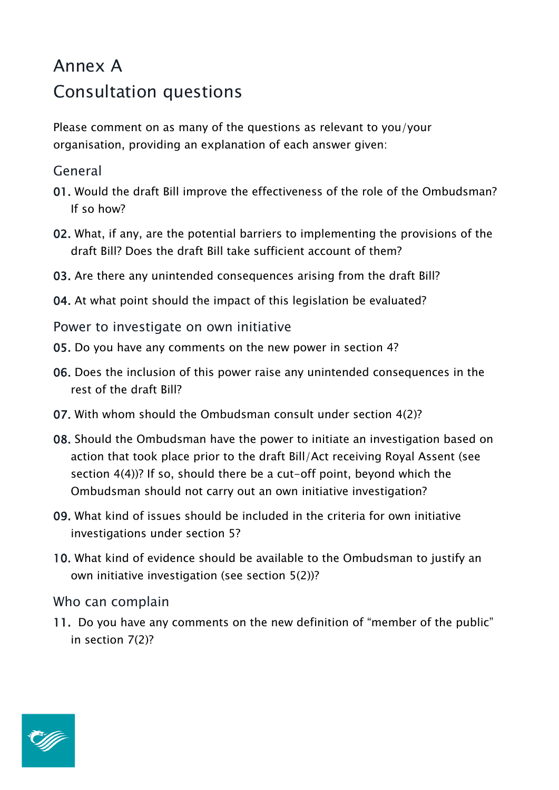# Annex A Consultation questions

Please comment on as many of the questions as relevant to you/your organisation, providing an explanation of each answer given:

## General

- **01.** Would the draft Bill improve the effectiveness of the role of the Ombudsman? If so how?
- **02.** What, if any, are the potential barriers to implementing the provisions of the draft Bill? Does the draft Bill take sufficient account of them?
- **03.** Are there any unintended consequences arising from the draft Bill?
- **04.** At what point should the impact of this legislation be evaluated?
- Power to investigate on own initiative
- **05.** Do you have any comments on the new power in section 4?
- **06.** Does the inclusion of this power raise any unintended consequences in the rest of the draft Bill?
- **07.** With whom should the Ombudsman consult under section 4(2)?
- **08.** Should the Ombudsman have the power to initiate an investigation based on action that took place prior to the draft Bill/Act receiving Royal Assent (see section 4(4))? If so, should there be a cut-off point, beyond which the Ombudsman should not carry out an own initiative investigation?
- **09.** What kind of issues should be included in the criteria for own initiative investigations under section 5?
- **10.** What kind of evidence should be available to the Ombudsman to justify an own initiative investigation (see section 5(2))?

## Who can complain

**11.** Do you have any comments on the new definition of "member of the public" in section 7(2)?

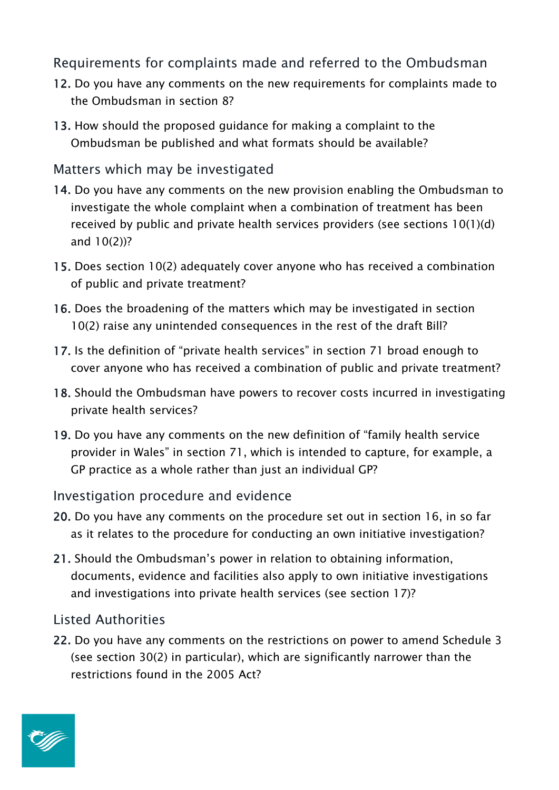Requirements for complaints made and referred to the Ombudsman

- **12.** Do you have any comments on the new requirements for complaints made to the Ombudsman in section 8?
- **13.** How should the proposed guidance for making a complaint to the Ombudsman be published and what formats should be available?

# Matters which may be investigated

- **14.** Do you have any comments on the new provision enabling the Ombudsman to investigate the whole complaint when a combination of treatment has been received by public and private health services providers (see sections 10(1)(d) and 10(2))?
- **15.** Does section 10(2) adequately cover anyone who has received a combination of public and private treatment?
- **16.** Does the broadening of the matters which may be investigated in section 10(2) raise any unintended consequences in the rest of the draft Bill?
- **17.** Is the definition of "private health services" in section 71 broad enough to cover anyone who has received a combination of public and private treatment?
- **18.** Should the Ombudsman have powers to recover costs incurred in investigating private health services?
- **19.** Do you have any comments on the new definition of "family health service provider in Wales" in section 71, which is intended to capture, for example, a GP practice as a whole rather than just an individual GP?

## Investigation procedure and evidence

- **20.** Do you have any comments on the procedure set out in section 16, in so far as it relates to the procedure for conducting an own initiative investigation?
- **21.** Should the Ombudsman's power in relation to obtaining information, documents, evidence and facilities also apply to own initiative investigations and investigations into private health services (see section 17)?

# Listed Authorities

**22.** Do you have any comments on the restrictions on power to amend Schedule 3 (see section 30(2) in particular), which are significantly narrower than the restrictions found in the 2005 Act?

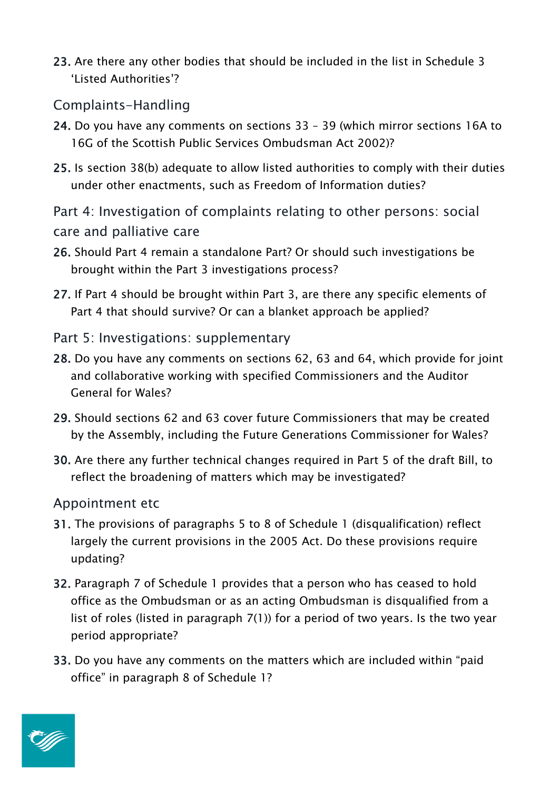**23.** Are there any other bodies that should be included in the list in Schedule 3 'Listed Authorities'?

## Complaints-Handling

- **24.** Do you have any comments on sections 33 39 (which mirror sections 16A to 16G of the Scottish Public Services Ombudsman Act 2002)?
- **25.** Is section 38(b) adequate to allow listed authorities to comply with their duties under other enactments, such as Freedom of Information duties?
- Part 4: Investigation of complaints relating to other persons: social care and palliative care
- **26.** Should Part 4 remain a standalone Part? Or should such investigations be brought within the Part 3 investigations process?
- **27.** If Part 4 should be brought within Part 3, are there any specific elements of Part 4 that should survive? Or can a blanket approach be applied?
- Part 5: Investigations: supplementary
- **28.** Do you have any comments on sections 62, 63 and 64, which provide for joint and collaborative working with specified Commissioners and the Auditor General for Wales?
- **29.** Should sections 62 and 63 cover future Commissioners that may be created by the Assembly, including the Future Generations Commissioner for Wales?
- **30.** Are there any further technical changes required in Part 5 of the draft Bill, to reflect the broadening of matters which may be investigated?

## Appointment etc

- **31.** The provisions of paragraphs 5 to 8 of Schedule 1 (disqualification) reflect largely the current provisions in the 2005 Act. Do these provisions require updating?
- **32.** Paragraph 7 of Schedule 1 provides that a person who has ceased to hold office as the Ombudsman or as an acting Ombudsman is disqualified from a list of roles (listed in paragraph 7(1)) for a period of two years. Is the two year period appropriate?
- **33.** Do you have any comments on the matters which are included within "paid office" in paragraph 8 of Schedule 1?